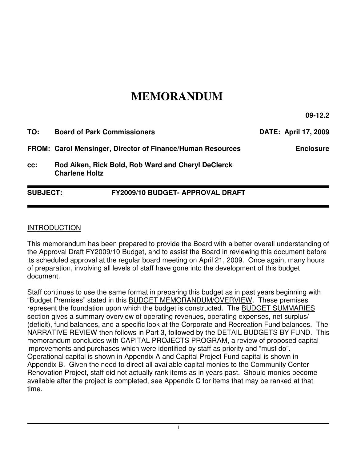# **MEMORANDUM**

**09-12.2** 

| TO: | <b>Board of Park Commissioners</b>                                          | <b>DATE: April 17, 2009</b> |
|-----|-----------------------------------------------------------------------------|-----------------------------|
|     | <b>FROM: Carol Mensinger, Director of Finance/Human Resources</b>           | <b>Enclosure</b>            |
| CC: | Rod Aiken, Rick Bold, Rob Ward and Cheryl DeClerck<br><b>Charlene Holtz</b> |                             |

**SUBJECT: FY2009/10 BUDGET- APPROVAL DRAFT** 

#### INTRODUCTION

This memorandum has been prepared to provide the Board with a better overall understanding of the Approval Draft FY2009/10 Budget, and to assist the Board in reviewing this document before its scheduled approval at the regular board meeting on April 21, 2009. Once again, many hours of preparation, involving all levels of staff have gone into the development of this budget document.

Staff continues to use the same format in preparing this budget as in past years beginning with "Budget Premises" stated in this BUDGET MEMORANDUM/OVERVIEW. These premises represent the foundation upon which the budget is constructed. The BUDGET SUMMARIES section gives a summary overview of operating revenues, operating expenses, net surplus/ (deficit), fund balances, and a specific look at the Corporate and Recreation Fund balances. The NARRATIVE REVIEW then follows in Part 3, followed by the DETAIL BUDGETS BY FUND. This memorandum concludes with CAPITAL PROJECTS PROGRAM, a review of proposed capital improvements and purchases which were identified by staff as priority and "must do". Operational capital is shown in Appendix A and Capital Project Fund capital is shown in Appendix B. Given the need to direct all available capital monies to the Community Center Renovation Project, staff did not actually rank items as in years past. Should monies become available after the project is completed, see Appendix C for items that may be ranked at that time.

i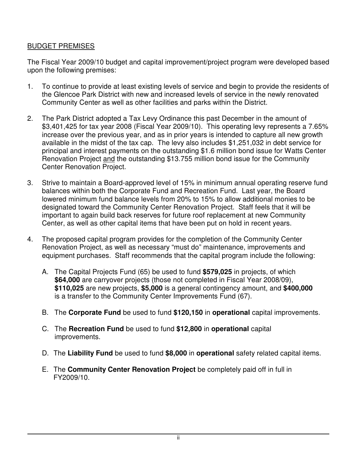## BUDGET PREMISES

The Fiscal Year 2009/10 budget and capital improvement/project program were developed based upon the following premises:

- 1. To continue to provide at least existing levels of service and begin to provide the residents of the Glencoe Park District with new and increased levels of service in the newly renovated Community Center as well as other facilities and parks within the District.
- 2. The Park District adopted a Tax Levy Ordinance this past December in the amount of \$3,401,425 for tax year 2008 (Fiscal Year 2009/10). This operating levy represents a 7.65% increase over the previous year, and as in prior years is intended to capture all new growth available in the midst of the tax cap. The levy also includes \$1,251,032 in debt service for principal and interest payments on the outstanding \$1.6 million bond issue for Watts Center Renovation Project and the outstanding \$13.755 million bond issue for the Community Center Renovation Project.
- 3. Strive to maintain a Board-approved level of 15% in minimum annual operating reserve fund balances within both the Corporate Fund and Recreation Fund. Last year, the Board lowered minimum fund balance levels from 20% to 15% to allow additional monies to be designated toward the Community Center Renovation Project. Staff feels that it will be important to again build back reserves for future roof replacement at new Community Center, as well as other capital items that have been put on hold in recent years.
- 4. The proposed capital program provides for the completion of the Community Center Renovation Project, as well as necessary "must do" maintenance, improvements and equipment purchases. Staff recommends that the capital program include the following:
	- A. The Capital Projects Fund (65) be used to fund **\$579,025** in projects, of which **\$64,000** are carryover projects (those not completed in Fiscal Year 2008/09), **\$110,025** are new projects, **\$5,000** is a general contingency amount, and **\$400,000** is a transfer to the Community Center Improvements Fund (67).
	- B. The **Corporate Fund** be used to fund **\$120,150** in **operational** capital improvements.
	- C. The **Recreation Fund** be used to fund **\$12,800** in **operational** capital improvements.
	- D. The **Liability Fund** be used to fund **\$8,000** in **operational** safety related capital items.
	- E. The **Community Center Renovation Project** be completely paid off in full in FY2009/10.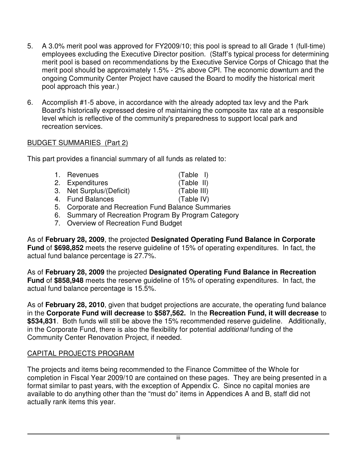- 5. A 3.0% merit pool was approved for FY2009/10; this pool is spread to all Grade 1 (full-time) employees excluding the Executive Director position. (Staff's typical process for determining merit pool is based on recommendations by the Executive Service Corps of Chicago that the merit pool should be approximately 1.5% - 2% above CPI. The economic downturn and the ongoing Community Center Project have caused the Board to modify the historical merit pool approach this year.)
- 6. Accomplish #1-5 above, in accordance with the already adopted tax levy and the Park Board's historically expressed desire of maintaining the composite tax rate at a responsible level which is reflective of the community's preparedness to support local park and recreation services.

### BUDGET SUMMARIES (Part 2)

This part provides a financial summary of all funds as related to:

| 1. Revenues                                        | $(Table$ I) |
|----------------------------------------------------|-------------|
| 2. Expenditures                                    | (Table II)  |
| 3. Net Surplus/(Deficit)                           | (Table III) |
| 4. Fund Balances                                   | (Table IV)  |
| 5. Corporate and Recreation Fund Balance Summaries |             |

- 6. Summary of Recreation Program By Program Category
- 7. Overview of Recreation Fund Budget

As of **February 28, 2009**, the projected **Designated Operating Fund Balance in Corporate Fund** of **\$698,852** meets the reserve guideline of 15% of operating expenditures. In fact, the actual fund balance percentage is 27.7%.

As of **February 28, 2009** the projected **Designated Operating Fund Balance in Recreation Fund** of **\$858,948** meets the reserve guideline of 15% of operating expenditures. In fact, the actual fund balance percentage is 15.5%.

As of **February 28, 2010**, given that budget projections are accurate, the operating fund balance in the **Corporate Fund will decrease** to **\$587,562.** In the **Recreation Fund, it will decrease** to **\$534,831**. Both funds will still be above the 15% recommended reserve guideline. Additionally, in the Corporate Fund, there is also the flexibility for potential additional funding of the Community Center Renovation Project, if needed.

# CAPITAL PROJECTS PROGRAM

The projects and items being recommended to the Finance Committee of the Whole for completion in Fiscal Year 2009/10 are contained on these pages. They are being presented in a format similar to past years, with the exception of Appendix C. Since no capital monies are available to do anything other than the "must do" items in Appendices A and B, staff did not actually rank items this year.